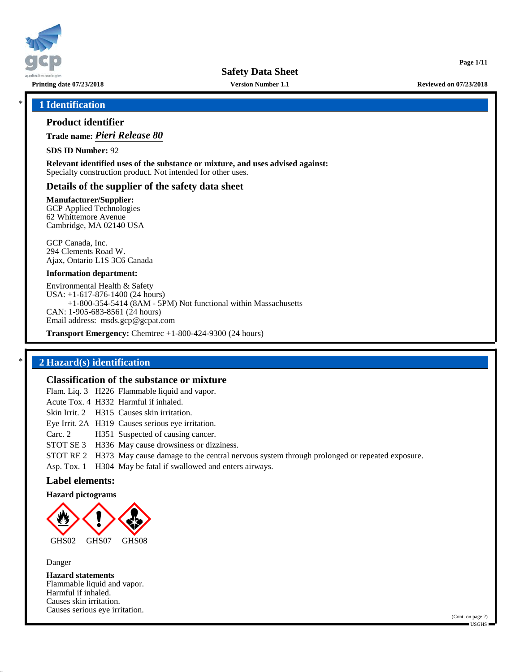

**Printing date 07/23/2018 Version Number 1.1 Reviewed on 07/23/2018**

**Page 1/11**

### \* **1 Identification**

## **Product identifier**

**Trade name:** *Pieri Release 80*

**SDS ID Number:** 92

**Relevant identified uses of the substance or mixture, and uses advised against:** Specialty construction product. Not intended for other uses.

#### **Details of the supplier of the safety data sheet**

**Manufacturer/Supplier:**

GCP Applied Technologies 62 Whittemore Avenue Cambridge, MA 02140 USA

GCP Canada, Inc. 294 Clements Road W. Ajax, Ontario L1S 3C6 Canada

#### **Information department:**

Environmental Health & Safety USA: +1-617-876-1400 (24 hours) +1-800-354-5414 (8AM - 5PM) Not functional within Massachusetts CAN: 1-905-683-8561 (24 hours) Email address: msds.gcp@gcpat.com

**Transport Emergency:** Chemtrec +1-800-424-9300 (24 hours)

## \* **2 Hazard(s) identification**

## **Classification of the substance or mixture**

Flam. Liq. 3 H226 Flammable liquid and vapor.

Acute Tox. 4 H332 Harmful if inhaled. Skin Irrit. 2 H315 Causes skin irritation. Eye Irrit. 2A H319 Causes serious eye irritation. Carc. 2 H351 Suspected of causing cancer. STOT SE 3 H336 May cause drowsiness or dizziness.

STOT RE 2 H373 May cause damage to the central nervous system through prolonged or repeated exposure.

Asp. Tox. 1 H304 May be fatal if swallowed and enters airways.

## **Label elements:**

**Hazard pictograms**



Danger

**Hazard statements** Flammable liquid and vapor. Harmful if inhaled. Causes skin irritation. Causes serious eye irritation.

(Cont. on page 2)  $-$ USGHS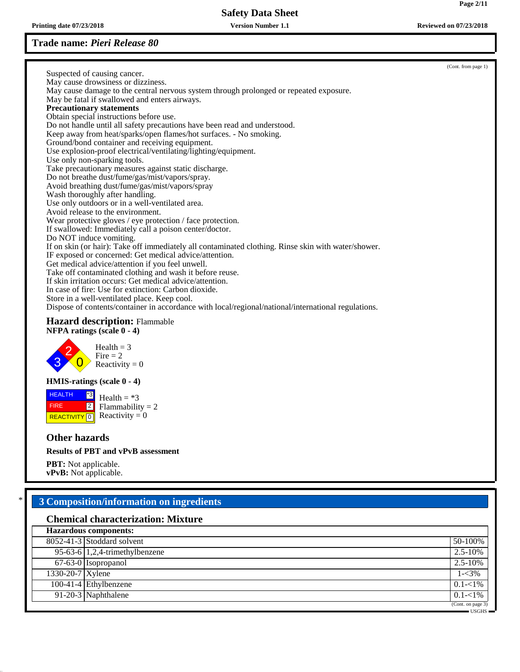**Printing date 07/23/2018 Version Number 1.1 Reviewed on 07/23/2018**

## **Trade name:** *Pieri Release 80*

|                                                                                                     | (Cont. from page 1) |
|-----------------------------------------------------------------------------------------------------|---------------------|
| Suspected of causing cancer.                                                                        |                     |
| May cause drowsiness or dizziness.                                                                  |                     |
| May cause damage to the central nervous system through prolonged or repeated exposure.              |                     |
| May be fatal if swallowed and enters airways.                                                       |                     |
| <b>Precautionary statements</b>                                                                     |                     |
| Obtain special instructions before use.                                                             |                     |
| Do not handle until all safety precautions have been read and understood.                           |                     |
| Keep away from heat/sparks/open flames/hot surfaces. - No smoking.                                  |                     |
| Ground/bond container and receiving equipment.                                                      |                     |
| Use explosion-proof electrical/ventilating/lighting/equipment.                                      |                     |
| Use only non-sparking tools.                                                                        |                     |
| Take precautionary measures against static discharge.                                               |                     |
| Do not breathe dust/fume/gas/mist/vapors/spray.                                                     |                     |
| Avoid breathing dust/fume/gas/mist/vapors/spray                                                     |                     |
| Wash thoroughly after handling.                                                                     |                     |
| Use only outdoors or in a well-ventilated area.                                                     |                     |
| Avoid release to the environment.                                                                   |                     |
| Wear protective gloves / eye protection / face protection.                                          |                     |
| If swallowed: Immediately call a poison center/doctor.                                              |                     |
| Do NOT induce vomiting.                                                                             |                     |
| If on skin (or hair): Take off immediately all contaminated clothing. Rinse skin with water/shower. |                     |
| IF exposed or concerned: Get medical advice/attention.                                              |                     |
| Get medical advice/attention if you feel unwell.                                                    |                     |
| Take off contaminated clothing and wash it before reuse.                                            |                     |
| If skin irritation occurs: Get medical advice/attention.                                            |                     |
| In case of fire: Use for extinction: Carbon dioxide.                                                |                     |
| Store in a well-ventilated place. Keep cool.                                                        |                     |
| Dispose of contents/container in accordance with local/regional/national/international regulations. |                     |
|                                                                                                     |                     |

## **Hazard description:** Flammable **NFPA ratings (scale 0 - 4)**



## **HMIS-ratings (scale 0 - 4)**

**HEALTH FIRE REACTIVITY** \*3 2  $\overline{0}$  Reactivity = 0 Health  $= *3$  $Flammability = 2$ 

## **Other hazards**

### **Results of PBT and vPvB assessment**

**PBT:** Not applicable. **vPvB:** Not applicable.

# \* **3 Composition/information on ingredients**

## **Chemical characterization: Mixture**

|                  | <b>Hazardous components:</b>      |                   |
|------------------|-----------------------------------|-------------------|
|                  | 8052-41-3 Stoddard solvent        | 50-100%           |
|                  | 95-63-6 $1,2,4$ -trimethylbenzene | $2.5 - 10\%$      |
|                  | 67-63-0 Isopropanol               | $2.5 - 10\%$      |
| 1330-20-7 Xylene |                                   | $1 - 3\%$         |
|                  | $100-41-4$ Ethylbenzene           | $0.1 - 1\%$       |
|                  | 91-20-3 Naphthalene               | $0.1 - 1\%$       |
|                  |                                   | (Cont. on page 3) |
|                  |                                   | USGHS ·           |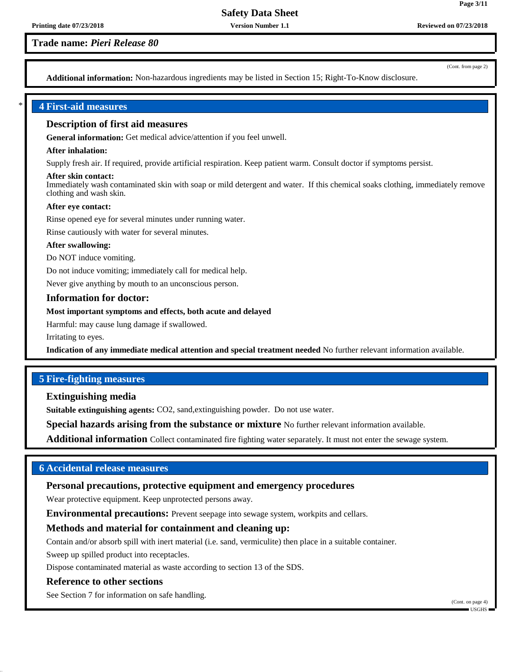## **Trade name:** *Pieri Release 80*

(Cont. from page 2)

**Page 3/11**

**Additional information:** Non-hazardous ingredients may be listed in Section 15; Right-To-Know disclosure.

## \* **4 First-aid measures**

## **Description of first aid measures**

**General information:** Get medical advice/attention if you feel unwell.

#### **After inhalation:**

Supply fresh air. If required, provide artificial respiration. Keep patient warm. Consult doctor if symptoms persist.

#### **After skin contact:**

Immediately wash contaminated skin with soap or mild detergent and water. If this chemical soaks clothing, immediately remove clothing and wash skin.

#### **After eye contact:**

Rinse opened eye for several minutes under running water.

Rinse cautiously with water for several minutes.

#### **After swallowing:**

Do NOT induce vomiting.

Do not induce vomiting; immediately call for medical help.

Never give anything by mouth to an unconscious person.

#### **Information for doctor:**

#### **Most important symptoms and effects, both acute and delayed**

Harmful: may cause lung damage if swallowed.

Irritating to eyes.

**Indication of any immediate medical attention and special treatment needed** No further relevant information available.

## **5 Fire-fighting measures**

**Extinguishing media**

**Suitable extinguishing agents:** CO2, sand,extinguishing powder. Do not use water.

**Special hazards arising from the substance or mixture** No further relevant information available.

**Additional information** Collect contaminated fire fighting water separately. It must not enter the sewage system.

## **6 Accidental release measures**

## **Personal precautions, protective equipment and emergency procedures**

Wear protective equipment. Keep unprotected persons away.

**Environmental precautions:** Prevent seepage into sewage system, workpits and cellars.

## **Methods and material for containment and cleaning up:**

Contain and/or absorb spill with inert material (i.e. sand, vermiculite) then place in a suitable container.

Sweep up spilled product into receptacles.

Dispose contaminated material as waste according to section 13 of the SDS.

#### **Reference to other sections**

See Section 7 for information on safe handling.

(Cont. on page 4) USGHS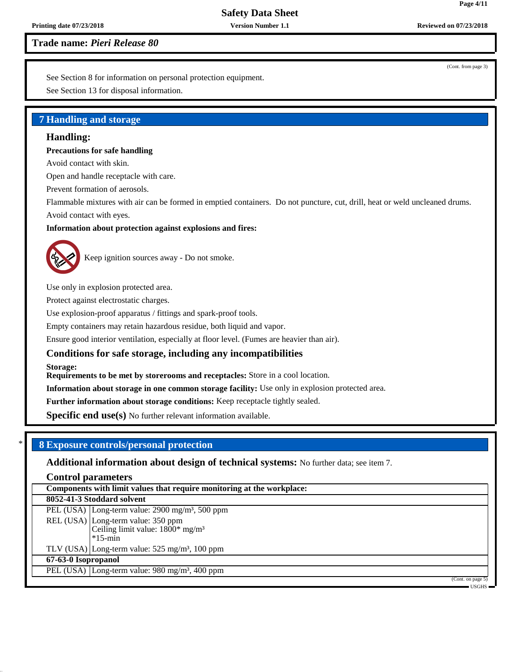**Printing date 07/23/2018 Version Number 1.1 Reviewed on 07/23/2018**

**Trade name:** *Pieri Release 80*

See Section 8 for information on personal protection equipment.

See Section 13 for disposal information.

## **7 Handling and storage**

## **Handling:**

## **Precautions for safe handling**

Avoid contact with skin.

Open and handle receptacle with care.

Prevent formation of aerosols.

Flammable mixtures with air can be formed in emptied containers. Do not puncture, cut, drill, heat or weld uncleaned drums. Avoid contact with eyes.

## **Information about protection against explosions and fires:**



Keep ignition sources away - Do not smoke.

Use only in explosion protected area.

Protect against electrostatic charges.

Use explosion-proof apparatus / fittings and spark-proof tools.

Empty containers may retain hazardous residue, both liquid and vapor.

Ensure good interior ventilation, especially at floor level. (Fumes are heavier than air).

## **Conditions for safe storage, including any incompatibilities**

**Storage:**

**Requirements to be met by storerooms and receptacles:** Store in a cool location.

**Information about storage in one common storage facility:** Use only in explosion protected area.

**Further information about storage conditions:** Keep receptacle tightly sealed.

Specific end use(s) No further relevant information available.

## \* **8 Exposure controls/personal protection**

**Additional information about design of technical systems:** No further data; see item 7.

**Control parameters**

| Components with limit values that require monitoring at the workplace:                             |
|----------------------------------------------------------------------------------------------------|
| 8052-41-3 Stoddard solvent                                                                         |
| PEL (USA) Long-term value: 2900 mg/m <sup>3</sup> , 500 ppm                                        |
| REL (USA) Long-term value: 350 ppm<br>Ceiling limit value: $1800*$ mg/m <sup>3</sup><br>$*15$ -min |
| TLV (USA) Long-term value: $525 \text{ mg/m}^3$ , 100 ppm                                          |
| 67-63-0 Isopropanol                                                                                |
| PEL (USA) Long-term value: 980 mg/m <sup>3</sup> , 400 ppm                                         |
| (Cont. on page $5$ )                                                                               |

USGHS

(Cont. from page 3)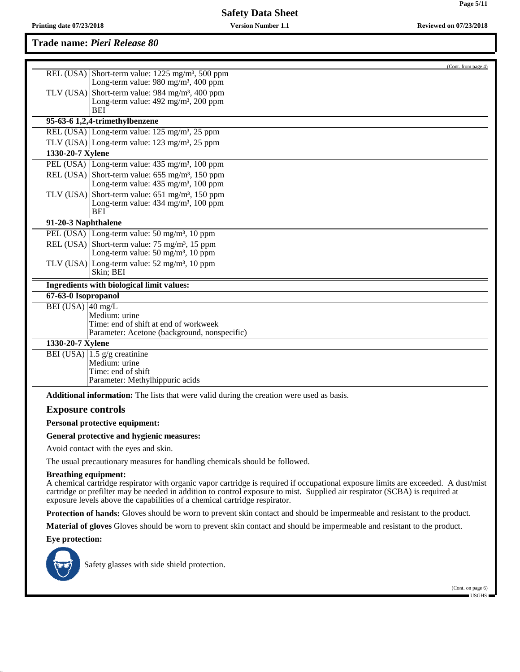## **Trade name:** *Pieri Release 80*

|                             | (Cont. from page 4)                                                                                                        |
|-----------------------------|----------------------------------------------------------------------------------------------------------------------------|
|                             | REL (USA) Short-term value: $1225 \text{ mg/m}^3$ , 500 ppm                                                                |
|                             | Long-term value: $980 \text{ mg/m}^3$ , $400 \text{ ppm}$                                                                  |
|                             | TLV (USA) Short-term value: 984 mg/m <sup>3</sup> , 400 ppm                                                                |
|                             | Long-term value: $492 \text{ mg/m}^3$ , $200 \text{ ppm}$                                                                  |
|                             | BEI                                                                                                                        |
|                             | 95-63-6 1,2,4-trimethylbenzene                                                                                             |
|                             | REL (USA) Long-term value: 125 mg/m <sup>3</sup> , 25 ppm                                                                  |
|                             | TLV (USA) Long-term value: $123 \text{ mg/m}^3$ , $25 \text{ ppm}$                                                         |
| 1330-20-7 Xylene            |                                                                                                                            |
|                             | PEL (USA) Long-term value: 435 mg/m <sup>3</sup> , 100 ppm                                                                 |
|                             | REL (USA) Short-term value: $655 \text{ mg/m}^3$ , 150 ppm                                                                 |
|                             | Long-term value: $435 \text{ mg/m}^3$ , $100 \text{ ppm}$                                                                  |
|                             | TLV (USA) Short-term value: $651$ mg/m <sup>3</sup> , 150 ppm<br>Long-term value: $434 \text{ mg/m}^3$ , $100 \text{ ppm}$ |
|                             | <b>BEI</b>                                                                                                                 |
| 91-20-3 Naphthalene         |                                                                                                                            |
|                             | PEL (USA) Long-term value: 50 mg/m <sup>3</sup> , 10 ppm                                                                   |
|                             | REL (USA) Short-term value: $75 \text{ mg/m}^3$ , 15 ppm                                                                   |
|                             | Long-term value: $50 \text{ mg/m}^3$ , $10 \text{ ppm}$                                                                    |
|                             | TLV (USA) Long-term value: $52 \text{ mg/m}^3$ , 10 ppm                                                                    |
|                             | Skin; BEI                                                                                                                  |
|                             | Ingredients with biological limit values:                                                                                  |
| 67-63-0 Isopropanol         |                                                                                                                            |
| BEI (USA) 40 mg/L           |                                                                                                                            |
|                             | Medium: urine<br>Time: end of shift at end of workweek                                                                     |
|                             | Parameter: Acetone (background, nonspecific)                                                                               |
| 1330-20-7 Xylene            |                                                                                                                            |
|                             | BEI (USA) $ 1.5 \text{ g/g}$ creatinine                                                                                    |
|                             | Medium: urine                                                                                                              |
|                             | Time: end of shift                                                                                                         |
|                             | Parameter: Methylhippuric acids                                                                                            |
|                             | <b>Additional information:</b> The lists that were valid during the creation were used as basis.                           |
| <b>Exposure controls</b>    |                                                                                                                            |
|                             | <b>Personal protective equipment:</b>                                                                                      |
|                             | General protective and hygienic measures:                                                                                  |
|                             | Avoid contact with the eyes and skin.                                                                                      |
|                             | The usual precautionary measures for handling chemicals should be followed.                                                |
| <b>Breathing equipment:</b> |                                                                                                                            |

A chemical cartridge respirator with organic vapor cartridge is required if occupational exposure limits are exceeded. A dust/mist cartridge or prefilter may be needed in addition to control exposure to mist. Supplied air respirator (SCBA) is required at exposure levels above the capabilities of a chemical cartridge respirator.

**Protection of hands:** Gloves should be worn to prevent skin contact and should be impermeable and resistant to the product.

**Material of gloves** Gloves should be worn to prevent skin contact and should be impermeable and resistant to the product.

**Eye protection:**



Safety glasses with side shield protection.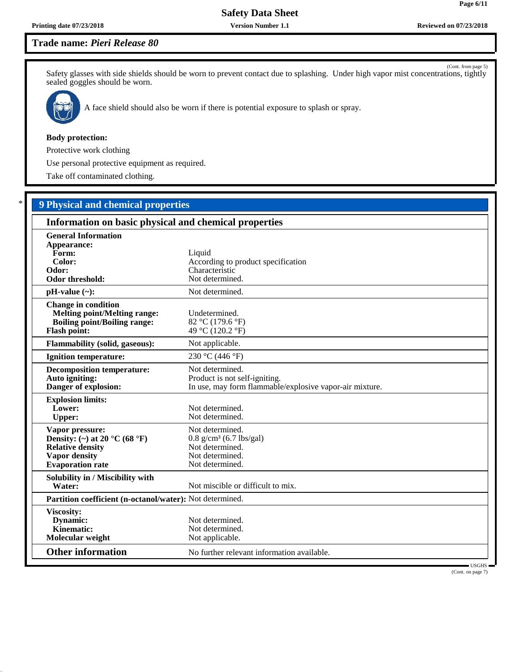**Page 6/11**

## **Trade name:** *Pieri Release 80*

(Cont. from page 5) Safety glasses with side shields should be worn to prevent contact due to splashing. Under high vapor mist concentrations, tightly sealed goggles should be worn.



A face shield should also be worn if there is potential exposure to splash or spray.

#### **Body protection:**

Protective work clothing

Use personal protective equipment as required.

Take off contaminated clothing.

# \* **9 Physical and chemical properties**

| Information on basic physical and chemical properties                                                                                              |                                                                                                                   |
|----------------------------------------------------------------------------------------------------------------------------------------------------|-------------------------------------------------------------------------------------------------------------------|
| <b>General Information</b><br>Appearance:<br>Form:<br>Color:<br>Odor:<br><b>Odor threshold:</b>                                                    | Liquid<br>According to product specification<br>Characteristic<br>Not determined.                                 |
| $pH-value (\sim):$                                                                                                                                 | Not determined.                                                                                                   |
| <b>Change in condition</b><br><b>Melting point/Melting range:</b><br><b>Boiling point/Boiling range:</b><br><b>Flash point:</b>                    | Undetermined.<br>82 °C (179.6 °F)<br>49 °C (120.2 °F)                                                             |
| <b>Flammability (solid, gaseous):</b>                                                                                                              | Not applicable.                                                                                                   |
| <b>Ignition temperature:</b>                                                                                                                       | 230 °C (446 °F)                                                                                                   |
| <b>Decomposition temperature:</b><br>Auto igniting:<br>Danger of explosion:                                                                        | Not determined.<br>Product is not self-igniting.<br>In use, may form flammable/explosive vapor-air mixture.       |
| <b>Explosion limits:</b><br>Lower:<br><b>Upper:</b>                                                                                                | Not determined.<br>Not determined.                                                                                |
| Vapor pressure:<br>Density: (~) at 20 $^{\circ}$ C (68 $^{\circ}$ F)<br><b>Relative density</b><br><b>Vapor density</b><br><b>Evaporation</b> rate | Not determined.<br>$0.8$ g/cm <sup>3</sup> (6.7 lbs/gal)<br>Not determined.<br>Not determined.<br>Not determined. |
| Solubility in / Miscibility with<br>Water:                                                                                                         | Not miscible or difficult to mix.                                                                                 |
| Partition coefficient (n-octanol/water): Not determined.                                                                                           |                                                                                                                   |
| Viscosity:<br>Dynamic:<br>Kinematic:<br>Molecular weight                                                                                           | Not determined.<br>Not determined.<br>Not applicable.                                                             |
| <b>Other information</b>                                                                                                                           | No further relevant information available.<br>USGHS-                                                              |

(Cont. on page 7)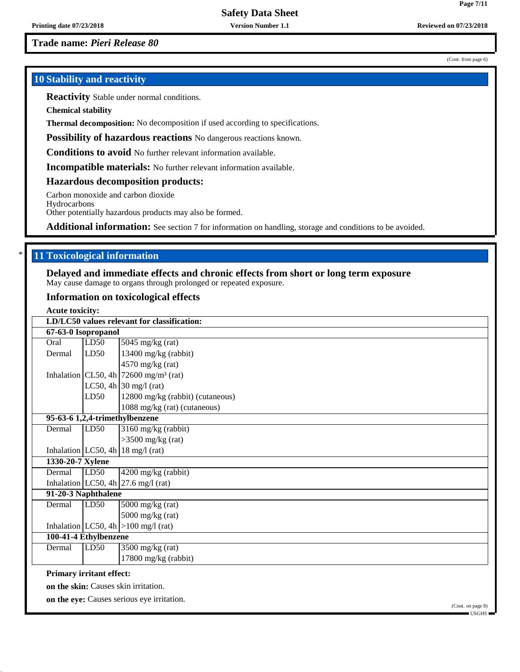**Trade name:** *Pieri Release 80*

## **10 Stability and reactivity**

**Reactivity** Stable under normal conditions.

**Chemical stability**

**Thermal decomposition:** No decomposition if used according to specifications.

**Possibility of hazardous reactions** No dangerous reactions known.

**Conditions to avoid** No further relevant information available.

**Incompatible materials:** No further relevant information available.

**Hazardous decomposition products:**

Carbon monoxide and carbon dioxide

Hydrocarbons Other potentially hazardous products may also be formed.

Additional information: See section 7 for information on handling, storage and conditions to be avoided.

## **11 Toxicological information**

#### **Delayed and immediate effects and chronic effects from short or long term exposure** May cause damage to organs through prolonged or repeated exposure.

## **Information on toxicological effects**

**Acute toxicity:**

|                                 |      | LD/LC50 values relevant for classification:                            |
|---------------------------------|------|------------------------------------------------------------------------|
| 67-63-0 Isopropanol             |      |                                                                        |
| Oral                            | LD50 | $5045$ mg/kg (rat)                                                     |
| Dermal                          | LD50 | 13400 mg/kg (rabbit)                                                   |
|                                 |      | $4570$ mg/kg (rat)                                                     |
|                                 |      | Inhalation CL50, 4h $\frac{72600 \text{ mg}}{m^3}$ (rat)               |
|                                 |      | LC50, 4h $30 \text{ mg/l}$ (rat)                                       |
|                                 | LD50 | 12800 mg/kg (rabbit) (cutaneous)                                       |
|                                 |      | 1088 mg/kg (rat) (cutaneous)                                           |
|                                 |      | 95-63-6 1,2,4-trimethylbenzene                                         |
| Dermal                          | LD50 | 3160 mg/kg (rabbit)                                                    |
|                                 |      | $>3500$ mg/kg (rat)                                                    |
|                                 |      | Inhalation $LC50$ , 4h   18 mg/l (rat)                                 |
| 1330-20-7 Xylene                |      |                                                                        |
| Dermal                          | LD50 | 4200 mg/kg (rabbit)                                                    |
|                                 |      | Inhalation LC50, 4h $\left  27.6 \right $ mg/l (rat)                   |
| 91-20-3 Naphthalene             |      |                                                                        |
| Dermal                          | LD50 | $5000$ mg/kg (rat)                                                     |
|                                 |      | $5000$ mg/kg (rat)                                                     |
|                                 |      | Inhalation $ LC50, 4h  > 100$ mg/l (rat)                               |
| 100-41-4 Ethylbenzene           |      |                                                                        |
| Dermal                          | LD50 | $3500$ mg/kg (rat)                                                     |
|                                 |      | 17800 mg/kg (rabbit)                                                   |
| <b>Primary irritant effect:</b> |      |                                                                        |
|                                 |      | on the skin: Causes skin irritation.                                   |
|                                 |      | on the eye: Causes serious eye irritation.<br>$(C_{out}$ on none $(0)$ |

(Cont. from page 6)

(Cont. on page 8)

USGHS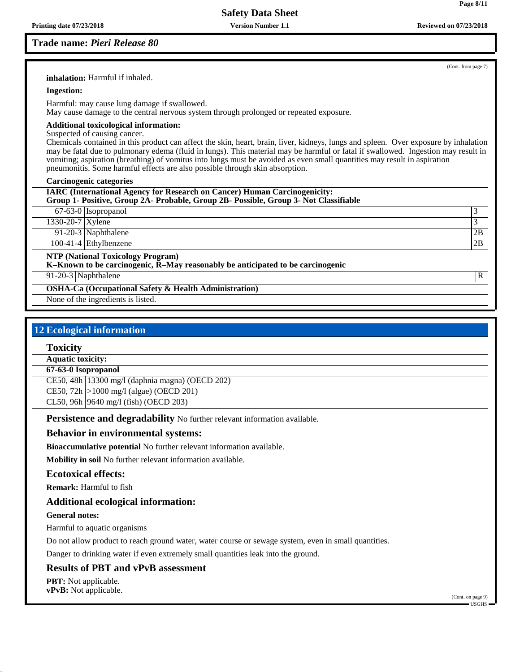## **Trade name:** *Pieri Release 80*

(Cont. from page 7)

**Page 8/11**

**inhalation:** Harmful if inhaled.

#### **Ingestion:**

Harmful: may cause lung damage if swallowed.

May cause damage to the central nervous system through prolonged or repeated exposure.

### **Additional toxicological information:**

Suspected of causing cancer.

Chemicals contained in this product can affect the skin, heart, brain, liver, kidneys, lungs and spleen. Over exposure by inhalation may be fatal due to pulmonary edema (fluid in lungs). This material may be harmful or fatal if swallowed. Ingestion may result in vomiting; aspiration (breathing) of vomitus into lungs must be avoided as even small quantities may result in aspiration pneumonitis. Some harmful effects are also possible through skin absorption.

#### **Carcinogenic categories**

| <b>IARC (International Agency for Research on Cancer) Human Carcinogenicity:</b><br>Group 1- Positive, Group 2A- Probable, Group 2B- Possible, Group 3- Not Classifiable |    |
|--------------------------------------------------------------------------------------------------------------------------------------------------------------------------|----|
| 67-63-0 Isopropanol                                                                                                                                                      | 3  |
| 1330-20-7 Xylene                                                                                                                                                         | 3  |
| 91-20-3 Naphthalene                                                                                                                                                      | 2B |
| $100-41-4$ Ethylbenzene                                                                                                                                                  | 2B |
| <b>NTP (National Toxicology Program)</b><br>$K-Known$ to be carcinogenic, $\overline{R}-May$ reasonably be anticipated to be carcinogenic                                |    |
| 91-20-3 Naphthalene                                                                                                                                                      | R  |
| <b>OSHA-Ca (Occupational Safety &amp; Health Administration)</b>                                                                                                         |    |
| None of the ingredients is listed.                                                                                                                                       |    |

## **12 Ecological information**

## **Toxicity**

**Aquatic toxicity:**

#### **67-63-0 Isopropanol**

CE50, 48h 13300 mg/l (daphnia magna) (OECD 202) CE50, 72h >1000 mg/l (algae) (OECD 201) CL50, 96h 9640 mg/l (fish) (OECD 203)

**Persistence and degradability** No further relevant information available.

## **Behavior in environmental systems:**

**Bioaccumulative potential** No further relevant information available.

**Mobility in soil** No further relevant information available.

## **Ecotoxical effects:**

**Remark:** Harmful to fish

## **Additional ecological information:**

## **General notes:**

Harmful to aquatic organisms

Do not allow product to reach ground water, water course or sewage system, even in small quantities.

Danger to drinking water if even extremely small quantities leak into the ground.

## **Results of PBT and vPvB assessment**

**PBT:** Not applicable. **vPvB:** Not applicable.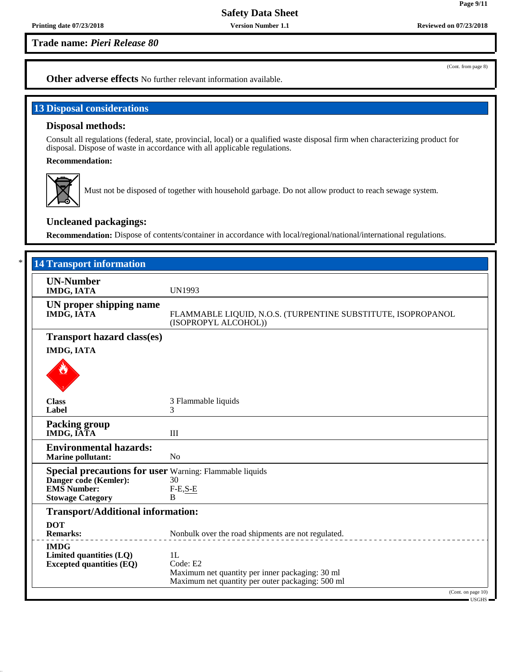**Trade name:** *Pieri Release 80*

(Cont. from page 8)

**Page 9/11**

**Other adverse effects** No further relevant information available.

## **13 Disposal considerations**

### **Disposal methods:**

Consult all regulations (federal, state, provincial, local) or a qualified waste disposal firm when characterizing product for disposal. Dispose of waste in accordance with all applicable regulations.

**Recommendation:**



Must not be disposed of together with household garbage. Do not allow product to reach sewage system.

## **Uncleaned packagings:**

**Recommendation:** Dispose of contents/container in accordance with local/regional/national/international regulations.

| <b>14 Transport information</b>                                                            |                                                                                                     |
|--------------------------------------------------------------------------------------------|-----------------------------------------------------------------------------------------------------|
| <b>UN-Number</b><br><b>IMDG, IATA</b>                                                      | <b>UN1993</b>                                                                                       |
|                                                                                            |                                                                                                     |
| UN proper shipping name<br>IMDG, IATA                                                      | FLAMMABLE LIQUID, N.O.S. (TURPENTINE SUBSTITUTE, ISOPROPANOL<br>(ISOPROPYL ALCOHOL))                |
| <b>Transport hazard class(es)</b>                                                          |                                                                                                     |
| <b>IMDG, IATA</b>                                                                          |                                                                                                     |
|                                                                                            |                                                                                                     |
| <b>Class</b>                                                                               | 3 Flammable liquids                                                                                 |
| Label                                                                                      | 3                                                                                                   |
| <b>Packing group</b><br>IMDG, IATA                                                         | III                                                                                                 |
| <b>Environmental hazards:</b><br><b>Marine pollutant:</b>                                  | N <sub>o</sub>                                                                                      |
|                                                                                            |                                                                                                     |
| <b>Special precautions for user</b> Warning: Flammable liquids<br>Danger code (Kemler): 30 |                                                                                                     |
| <b>EMS</b> Number:                                                                         | $F-E,S-E$                                                                                           |
| <b>Stowage Category</b>                                                                    | B                                                                                                   |
| <b>Transport/Additional information:</b>                                                   |                                                                                                     |
| <b>DOT</b>                                                                                 |                                                                                                     |
| <b>Remarks:</b>                                                                            | Nonbulk over the road shipments are not regulated.                                                  |
| <b>IMDG</b>                                                                                |                                                                                                     |
| Limited quantities (LQ)                                                                    | 1L                                                                                                  |
| <b>Excepted quantities (EQ)</b>                                                            | Code: E2                                                                                            |
|                                                                                            | Maximum net quantity per inner packaging: 30 ml<br>Maximum net quantity per outer packaging: 500 ml |
|                                                                                            | (Cont. on page 10)                                                                                  |
|                                                                                            | $-$ USGHS $-$                                                                                       |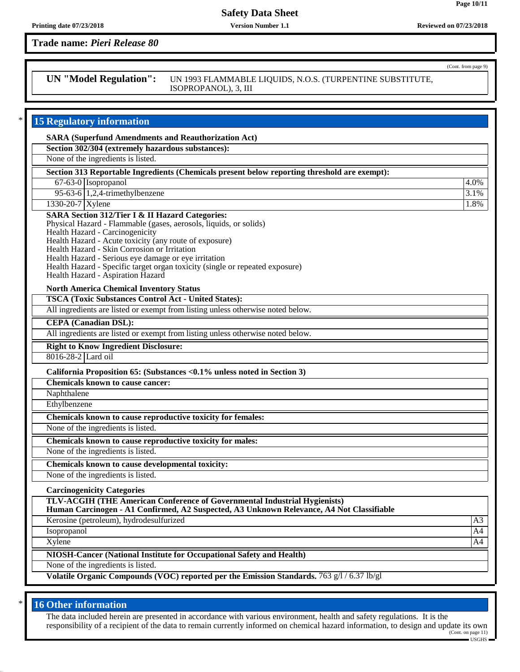## **Trade name:** *Pieri Release 80*

**UN "Model Regulation":** UN 1993 FLAMMABLE LIQUIDS, N.O.S. (TURPENTINE SUBSTITUTE, ISOPROPANOL), 3, III

## **15 Regulatory information SARA (Superfund Amendments and Reauthorization Act) Section 302/304 (extremely hazardous substances):** None of the ingredients is listed. **Section 313 Reportable Ingredients (Chemicals present below reporting threshold are exempt):** 67-63-0 Isopropanol 4.0%  $95-63-6$  | 1,2,4-trimethylbenzene  $\frac{3.1\%}{2.1\%}$  $1330-20-7$  Xylene  $1.8\%$ **SARA Section 312/Tier I & II Hazard Categories:** Physical Hazard - Flammable (gases, aerosols, liquids, or solids) Health Hazard - Carcinogenicity Health Hazard - Acute toxicity (any route of exposure) Health Hazard - Skin Corrosion or Irritation Health Hazard - Serious eye damage or eye irritation Health Hazard - Specific target organ toxicity (single or repeated exposure) Health Hazard - Aspiration Hazard **North America Chemical Inventory Status TSCA (Toxic Substances Control Act - United States):** All ingredients are listed or exempt from listing unless otherwise noted below. **CEPA (Canadian DSL):** All ingredients are listed or exempt from listing unless otherwise noted below. **Right to Know Ingredient Disclosure:** 8016-28-2 Lard oil **California Proposition 65: (Substances <0.1% unless noted in Section 3) Chemicals known to cause cancer:** Naphthalene Ethylbenzene **Chemicals known to cause reproductive toxicity for females:** None of the ingredients is listed. **Chemicals known to cause reproductive toxicity for males:** None of the ingredients is listed. **Chemicals known to cause developmental toxicity:** None of the ingredients is listed. **Carcinogenicity Categories TLV-ACGIH (THE American Conference of Governmental Industrial Hygienists) Human Carcinogen - A1 Confirmed, A2 Suspected, A3 Unknown Relevance, A4 Not Classifiable** Kerosine (petroleum), hydrodesulfurized A3 Isopropanol A4  $\Delta$ Xylene  $\Delta$ 44 **NIOSH-Cancer (National Institute for Occupational Safety and Health)** None of the ingredients is listed. **Volatile Organic Compounds (VOC) reported per the Emission Standards.** 763 g/l / 6.37 lb/gl

## **16 Other information**

The data included herein are presented in accordance with various environment, health and safety regulations. It is the responsibility of a recipient of the data to remain currently informed on chemical hazard information, to design and update its own (Cont. on page 11)

(Cont. from page 9)

**Page 10/11**